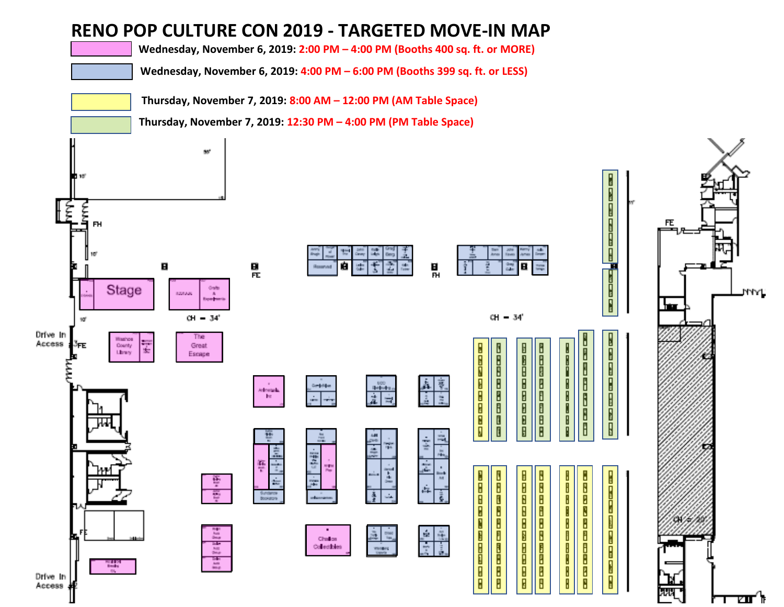